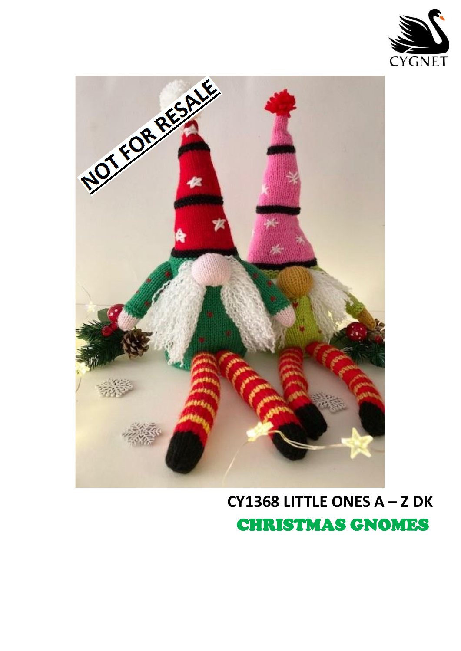



CY1368 LITTLE ONES  $A - Z$  DK **CHRISTMAS GNOMES**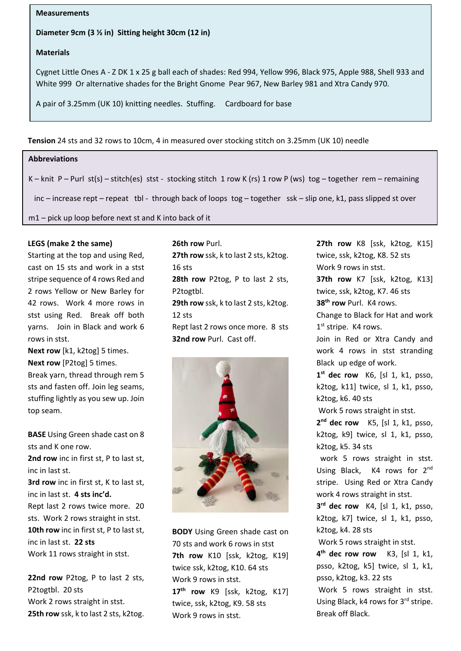### **Measurements**

### **Diameter 9cm (3 ½ in) Sitting height 30cm (12 in)**

## **Materials**

Cygnet Little Ones A - Z DK 1 x 25 g ball each of shades: Red 994, Yellow 996, Black 975, Apple 988, Shell 933 and White 999 Or alternative shades for the Bright Gnome Pear 967, New Barley 981 and Xtra Candy 970.

A pair of 3.25mm (UK 10) knitting needles. Stuffing. Cardboard for base

**Tension** 24 sts and 32 rows to 10cm, 4 in measured over stocking stitch on 3.25mm (UK 10) needle

# (G) 999 White **Abbreviations**

K – knit P – Purl st(s) – stitch(es) stst - stocking stitch 1 row K (rs) 1 row P (ws) tog – together rem – remaining

inc – increase rept – repeat tbl - through back of loops tog – together ssk – slip one, k1, pass slipped st over

m1 – pick up loop before next st and K into back of it

# LEGS (make 2 the same)

Starting at the top and using Red, cast on 15 sts and work in a stst stripe sequence of 4 rows Red and 2 rows Yellow or New Barley for 42 rows. Work 4 more rows in stst using Red. Break off both and 12 sts and the state of the State Change to Black for Hat and w yarns. Join in Black and work 6 and hept last 2 rows once mo rows in stst.

**Next row** [k1, k2tog] 5 times. **Next row** [P2tog] 5 times. Break yarn, thread through rem 5 sts and fasten off. Join leg seams, stuffing lightly as you sew up. Join top seam.

**BASE** Using Green shade cast on 8 sts and K one row.

**2nd row** inc in first st, P to last st, inc in last st.

**3rd row** inc in first st, K to last st, inc in last st. **4 sts inc'd.**

Rept last 2 rows twice more. 20 sts. Work 2 rows straight in stst. **10th row** inc in first st, P to last st, inc in last st. **22 sts** Work 11 rows straight in stst.

**22nd row** P2tog, P to last 2 sts, P2togtbl. 20 sts Work 2 rows straight in stst. **25th row** ssk, k to last 2 sts, k2tog.

**26th row** Purl. **27th row** ssk, k to last 2 sts, k2tog. 16 sts **28th row** P2tog, P to last 2 sts, P2togtbl. **29th row** ssk, k to last 2 sts, k2tog. 12 sts Rept last 2 rows once more. 8 sts **32nd row** Purl. Cast off. **Needles Tension Needles Tension** Sky Konst 25ts, R2tog.



**BODY** Using Green shade cast on 70 sts and work 6 rows in stst **7th row** K10 [ssk, k2tog, K19] twice ssk, k2tog, K10. 64 sts Work 9 rows in stst. **17th row** K9 [ssk, k2tog, K17] twice, ssk, k2tog, K9. 58 sts Work 9 rows in stst.

**27th row** K8 [ssk, k2tog, K15] twice, ssk, k2tog, K8. 52 sts Work 9 rows in stst. **37th row** K7 [ssk, k2tog, K13] twice, ssk, k2tog, K7. 46 sts **38th row** Purl. K4 rows. Change to Black for Hat and work 1st stripe. K4 rows. Join in Red or Xtra Candy and work 4 rows in stst stranding Black up edge of work. **1 st dec row** K6, [sl 1, k1, psso, k2tog, k11] twice, sl 1, k1, psso, k2tog, k6. 40 sts Work 5 rows straight in stst. **2 nd dec row** K5, [sl 1, k1, psso, k2tog, k9] twice, sl 1, k1, psso, k2tog, k5. 34 sts work 5 rows straight in stst. Using Black, K4 rows for 2<sup>nd</sup> stripe. Using Red or Xtra Candy work 4 rows straight in stst. **3 rd dec row** K4, [sl 1, k1, psso, k2tog, k7] twice, sl 1, k1, psso, k2tog, k4. 28 sts Work 5 rows straight in stst. **4 th dec row row** K3, [sl 1, k1, psso, k2tog, k5] twice, sl 1, k1, psso, k2tog, k3. 22 sts Work 5 rows straight in stst. Using Black, k4 rows for 3rd stripe. Break off Black.